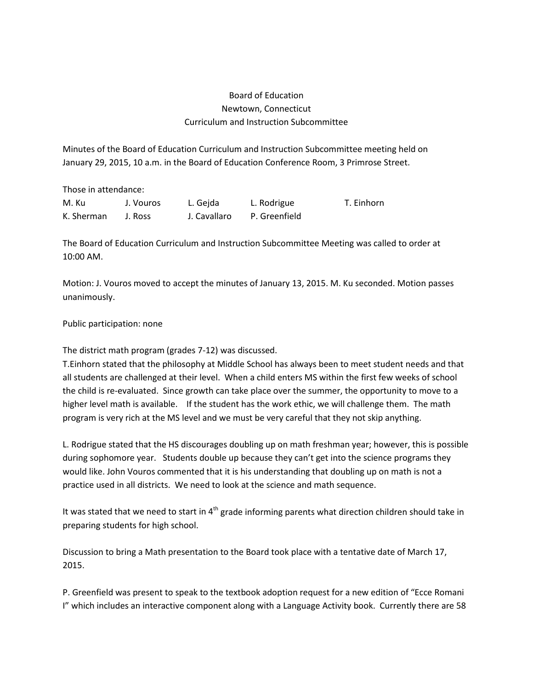## Board of Education Newtown, Connecticut Curriculum and Instruction Subcommittee

Minutes of the Board of Education Curriculum and Instruction Subcommittee meeting held on January 29, 2015, 10 a.m. in the Board of Education Conference Room, 3 Primrose Street.

Those in attendance:

| M. Ku      | J. Vouros | L. Gejda     | L. Rodrigue   | T. Einhorn |
|------------|-----------|--------------|---------------|------------|
| K. Sherman | J. Ross   | J. Cavallaro | P. Greenfield |            |

The Board of Education Curriculum and Instruction Subcommittee Meeting was called to order at 10:00 AM.

Motion: J. Vouros moved to accept the minutes of January 13, 2015. M. Ku seconded. Motion passes unanimously.

## Public participation: none

The district math program (grades 7-12) was discussed.

T.Einhorn stated that the philosophy at Middle School has always been to meet student needs and that all students are challenged at their level. When a child enters MS within the first few weeks of school the child is re-evaluated. Since growth can take place over the summer, the opportunity to move to a higher level math is available. If the student has the work ethic, we will challenge them. The math program is very rich at the MS level and we must be very careful that they not skip anything.

L. Rodrigue stated that the HS discourages doubling up on math freshman year; however, this is possible during sophomore year. Students double up because they can't get into the science programs they would like. John Vouros commented that it is his understanding that doubling up on math is not a practice used in all districts. We need to look at the science and math sequence.

It was stated that we need to start in  $4<sup>th</sup>$  grade informing parents what direction children should take in preparing students for high school.

Discussion to bring a Math presentation to the Board took place with a tentative date of March 17, 2015.

P. Greenfield was present to speak to the textbook adoption request for a new edition of "Ecce Romani I" which includes an interactive component along with a Language Activity book. Currently there are 58